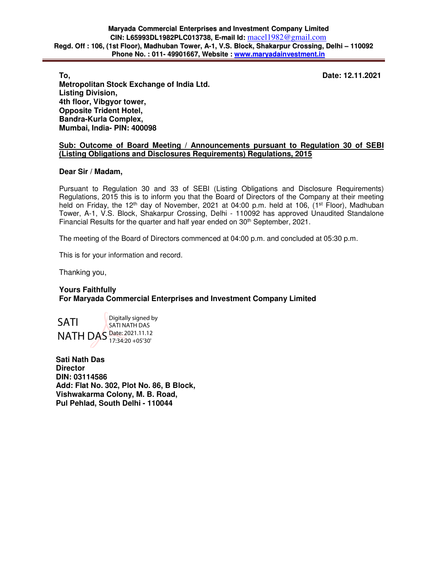**To, Date: 12.11.2021** 

**Metropolitan Stock Exchange of India Ltd. Listing Division, 4th floor, Vibgyor tower, Opposite Trident Hotel, Bandra-Kurla Complex, Mumbai, India- PIN: 400098** 

## **Sub: Outcome of Board Meeting / Announcements pursuant to Regulation 30 of SEBI (Listing Obligations and Disclosures Requirements) Regulations, 2015**

## **Dear Sir / Madam,**

Pursuant to Regulation 30 and 33 of SEBI (Listing Obligations and Disclosure Requirements) Regulations, 2015 this is to inform you that the Board of Directors of the Company at their meeting held on Friday, the 12<sup>th</sup> day of November, 2021 at 04:00 p.m. held at 106, (1<sup>st</sup> Floor), Madhuban Tower, A-1, V.S. Block, Shakarpur Crossing, Delhi - 110092 has approved Unaudited Standalone Financial Results for the quarter and half year ended on 30<sup>th</sup> September, 2021.

The meeting of the Board of Directors commenced at 04:00 p.m. and concluded at 05:30 p.m.

This is for your information and record.

Thanking you,

# **Yours Faithfully For Maryada Commercial Enterprises and Investment Company Limited**



**Sati Nath Das Director DIN: 03114586 Add: Flat No. 302, Plot No. 86, B Block, Vishwakarma Colony, M. B. Road, Pul Pehlad, South Delhi - 110044**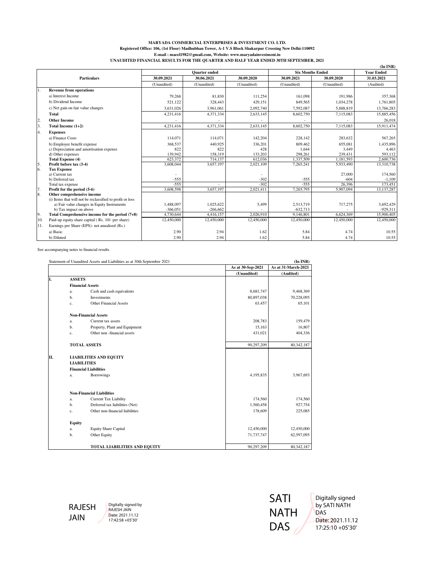#### **MARYADA COMMERCIAL ENTERPRISES & INVESTMENT CO. LTD. Registered Office: 106, (1st Floor) Madhubhan Tower, A-1 V.S Block Shakarpur Crossing New Delhi-110092 E-mail : macel1982@gmail.com, Website: www.maryadainvestment.in UNAUDITED FINANCIAL RESULTS FOR THE QUARTER AND HALF YEAR ENDED 30TH SEPTEMBER, 2021**

|                |                                                           |                      |             |             |                         |                   | $(In$ $INR)$ |
|----------------|-----------------------------------------------------------|----------------------|-------------|-------------|-------------------------|-------------------|--------------|
|                |                                                           | <b>Ouarter</b> ended |             |             | <b>Six Months Ended</b> | <b>Year Ended</b> |              |
|                | <b>Particulars</b>                                        | 30.09.2021           | 30.06.2021  | 30.09.2020  | 30.09.2021              | 30.09.2020        | 31.03.2021   |
|                |                                                           | (Unaudited)          | (Unaudited) | (Unaudited) | (Unaudited)             | (Unaudited)       | (Audited)    |
| 1.             | <b>Revenue from operations</b>                            |                      |             |             |                         |                   |              |
|                | a) Interest Income                                        | 79.268               | 81.830      | 111,254     | 161,098                 | 191.986           | 357,368      |
|                | b) Dividend Income                                        | 521,122              | 328,443     | 429.151     | 849,565                 | 1,034,278         | 1,761,805    |
|                | c) Net gain on fair value changes                         | 3.631.026            | 3.961.061   | 2.092.740   | 7.592.087               | 5,888,819         | 13,766,283   |
|                | Total                                                     | 4,231,416            | 4,371,334   | 2,633,145   | 8,602,750               | 7,115,083         | 15,885,456   |
| $\overline{2}$ | <b>Other Income</b>                                       |                      |             |             |                         |                   | 26,018       |
| 3.             | Total Income (1+2)                                        | 4,231,416            | 4.371.334   | 2,633,145   | 8,602,750               | 7.115.083         | 15,911,474   |
| 4.             | <b>Expenses</b>                                           |                      |             |             |                         |                   |              |
|                | a) Finance Costs                                          | 114,071              | 114,071     | 142,204     | 228,142                 | 283,632           | 567.265      |
|                | b) Employee benefit expense                               | 368,537              | 440.925     | 336,201     | 809,462                 | 655,081           | 1,435,896    |
|                | c) Depreciation and amortisation expense                  | 822                  | 822         | 428         | 1,644                   | 3,449             | 4,463        |
|                | d) Other expenses                                         | 139,942              | 158,319     | 133,203     | 298,261                 | 239.431           | 593,112      |
|                | <b>Total Expense (4)</b>                                  | 623.372              | 714,137     | 612.036     | 1,337,509               | 1.181.593         | 2,600,736    |
| $\frac{5}{6}$  | Profit before tax (3-4)                                   | 3,608,044            | 3,657,197   | 2,021,109   | 7,265,241               | 5,933,490         | 13,310,738   |
|                | <b>Tax Expense</b>                                        |                      |             |             |                         |                   |              |
|                | a) Current tax                                            |                      |             |             |                         | 27,000            | 174,560      |
|                | b) Deferred tax                                           | $-555$               |             | $-302$      | $-555$                  | $-604$            | $-1,109$     |
|                | Total tax expense                                         | $-555$               |             | $-302$      | $-555$                  | 26.396            | 173.451      |
| 17.            | Profit for the period (5-6)                               | 3,608,598            | 3,657,197   | 2,021,411   | 7,265,795               | 5,907,094         | 13,137,287   |
| 8.             | Other comprehensive income                                |                      |             |             |                         |                   |              |
|                | (i) Items that will not be reclassified to profit or loss |                      |             |             |                         |                   |              |
|                | a) Fair value changes in Equity Instruments               | 1.488.097            | 1.025.622   | 5,499       | 2.513.719               | 717,275           | 3.692.429    |
|                | b) Tax impact on above                                    | $-366,051$           | $-266,662$  |             | $-632,713$              |                   | $-929,311$   |
| 9.             | Total Comprehensive income for the period (7+8)           | 4,730,644            | 4,416,157   | 2,026,910   | 9.146.801               | 6,624,369         | 15,900,405   |
| 10.            | Paid-up equity share capital (Rs. 10/- per share)         | 12,450,000           | 12,450,000  | 12,450,000  | 12,450,000              | 12,450,000        | 12,450,000   |
| 11.            | Earnings per Share (EPS)- not anualised (Rs.)             |                      |             |             |                         |                   |              |
|                | a) Basic                                                  | 2.90                 | 2.94        | 1.62        | 5.84                    | 4.74              | 10.55        |
|                | b) Diluted                                                | 2.90                 | 2.94        | 1.62        | 5.84                    | 4.74              | 10.55        |

See accompanying notes to financial results

|    |                    | Statement of Unaudited Assets and Liabilities as at 30th September 2021 |                   |           | (In INR)            |
|----|--------------------|-------------------------------------------------------------------------|-------------------|-----------|---------------------|
|    |                    |                                                                         | As at 30-Sep-2021 |           | As at 31-March-2021 |
|    |                    |                                                                         | (Unaudited)       |           | (Audited)           |
| I. | <b>ASSETS</b>      |                                                                         |                   |           |                     |
|    |                    | <b>Financial Assets</b>                                                 |                   |           |                     |
|    | a.                 | Cash and cash equivalents                                               |                   | 8,681,747 | 9,468,369           |
|    | b.                 | Investments                                                             | 80,897,038        |           | 70,228,095          |
|    | c.                 | <b>Other Financial Assets</b>                                           |                   | 63,457    | 65,101              |
|    |                    | <b>Non-Financial Assets</b>                                             |                   |           |                     |
|    | a.                 | Current tax assets                                                      |                   | 208,783   | 159,479             |
|    | b.                 | Property, Plant and Equipment                                           |                   | 15,163    | 16,807              |
|    | c.                 | Other non-financial assets                                              |                   | 431,021   | 404,336             |
|    |                    | <b>TOTAL ASSETS</b>                                                     | 90,297,209        |           | 80,342,187          |
| П. |                    | <b>LIABILITIES AND EQUITY</b>                                           |                   |           |                     |
|    | <b>LIABILITIES</b> |                                                                         |                   |           |                     |
|    |                    | <b>Financial Liabilities</b>                                            |                   |           |                     |
|    | a.                 | <b>Borrowings</b>                                                       | 4,195,835         |           | 3,967,693           |
|    |                    | <b>Non-Financial Liabilities</b>                                        |                   |           |                     |
|    | a.                 | Current Tax Liability                                                   |                   | 174,560   | 174,560             |
|    | b.                 | Deferred tax liabilities (Net)                                          |                   | 1,560,458 | 927,754             |
|    | c.                 | Other non-financial liabilities                                         |                   | 178,609   | 225,085             |
|    | <b>Equity</b>      |                                                                         |                   |           |                     |
|    | a.                 | <b>Equity Share Capital</b>                                             | 12,450,000        |           | 12,450,000          |
|    | b.                 | Other Equity                                                            | 71,737,747        |           | 62,597,095          |
|    |                    | <b>TOTAL LIABILITIES AND EQUITY</b>                                     | 90,297,209        |           | 80, 342, 187        |

RAJESH JAIN

Digitally signed by RAJESH JAIN Date: 2021.11.12 17:42:58 +05'30'



Digitally signed by SATI NATH DAS Date: 2021.11.12 17:25:10 +05'30'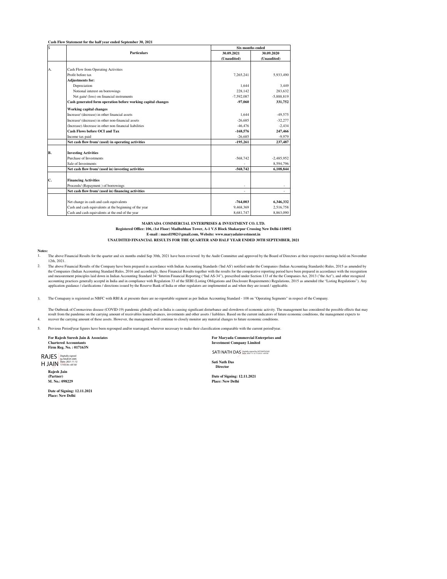| S         |                                                              |              | Six months ended |  |  |
|-----------|--------------------------------------------------------------|--------------|------------------|--|--|
|           | <b>Particulars</b>                                           | 30.09.2021   | 30.09.2020       |  |  |
|           |                                                              | (Unaudited)  | (Unaudited)      |  |  |
| A.        | Cash Flow from Operating Activities                          |              |                  |  |  |
|           | Profit before tax                                            |              | 5.933.490        |  |  |
|           |                                                              | 7,265,241    |                  |  |  |
|           | <b>Adjustments for:</b>                                      |              |                  |  |  |
|           | Depreciation                                                 | 1.644        | 3.449            |  |  |
|           | Notional interest on borrowings                              | 228,142      | 283.632          |  |  |
|           | Net gain/ (loss) on financial instruments                    | $-7,592,087$ | $-5.888.819$     |  |  |
|           | Cash generated form operation before working capital changes | $-97,060$    | 331,752          |  |  |
|           | <b>Working capital changes</b>                               |              |                  |  |  |
|           | Increase/ (decrease) in other financial assets               | 1.644        | $-49.575$        |  |  |
|           | Increase/ (decrease) in other non-financial assets           | $-26.685$    | $-32.277$        |  |  |
|           | (Increase) /decrease in other non financial liabilities      | $-46,476$    | $-2,434$         |  |  |
|           | Cash Flows before OCI and Tax                                | $-168,576$   | 247,466          |  |  |
|           | Income tax paid                                              | $-26.685$    | $-9.979$         |  |  |
|           | Net cash flow from/ (used) in operating activities           | $-195,261$   | 237,487          |  |  |
|           |                                                              |              |                  |  |  |
| <b>B.</b> | <b>Investing Activities</b>                                  |              |                  |  |  |
|           | Purchase of Investments                                      | $-568,742$   | $-2.485.952$     |  |  |
|           | Sale of Investments                                          |              | 8.594.796        |  |  |
|           | Net cash flow from/ (used in) investing activities           | -568.742     | 6,108,844        |  |  |
| C.        | <b>Financing Activities</b>                                  |              |                  |  |  |
|           | Proceeds/ (Repayment) of borrowings                          |              |                  |  |  |
|           | Net cash flow from/ (used in) financing activities           |              |                  |  |  |
|           |                                                              |              |                  |  |  |
|           | Net change in cash and cash equivalents                      | $-764,003$   | 6,346,332        |  |  |
|           | Cash and cash equivalents at the beginning of the year       | 9,468,369    | 2.516.758        |  |  |
|           | Cash and cash equivalents at the end of the year             | 8,681,747    | 8,863,090        |  |  |

**MARYADA COMMERCIAL ENTERPRISES & INVESTMENT CO. LTD.**

**Registered Office: 106, (1st Floor) Madhubhan Tower, A-1 V.S Block Shakarpur Crossing New Delhi-110092 E-mail : macel1982@gmail.com, Website: www.maryadainvestment.in**

#### **UNAUDITED FINANCIAL RESULTS FOR THE QUARTER AND HALF YEAR ENDED 30TH SEPTEMBER, 2021**

#### **Notes:**

1. The above Financial Results for the quarter and six months ended Sep 30th, 2021 have been reviewed by the Audit Committee and approved by the Board of Directors at their respective meetings held on November 12th, 2021.

2. The above Financial Results of the Company have been prepared in accordance with Indian Accounting Standards ('Ind AS') notified under the Companies (Indian Accounting Standards) Rules, 2015 as amended by the Companies (Indian Accounting Standard Rules, 2016 and accordingly, these Financial Results together with the results for the comparative reporting period have been prepared in accordance with the recognition<br>and measur accounting practices generally acceptd in India and in compliance with Regulation 33 of the SEBI (Listing Obligations and Disclosure Requirements) Regulations, 2015 as amended (the "Listing Regulations"). Any<br>application g

3. The Comapany is registered as NBFC with RBI & at presents there are no reportable segment as per Indian Accounting Standard - 108 on "Operating Segments" in respect of the Company.

4. The Outbreak of Coronavirus disease (COVID-19) pandemic globally and in India is causing significant disturbance and slowdown of economic activity. The management has considered the possible effects that may result from the pandemic on the carrying amount of receivables loans/advances, investments and other assets / liablities. Based on the current indicators of future economic conditions, the management expects to<br>recover the

5. Previous Period/year figures have been regrouped and/or rearranged, wherever necessary to make their classification comparable with the current period/year.

**For Rajesh Suresh Jain & Associates Chartered Accountants Firm Reg. No. : 017163N**

RAJES Digitally signed by RAJESH JAIN Date: 2021.11.12 17:43:36 +05'30'

**Rajesh Jain (Partner) M. No.: 098229** H JAIN

**Date of Signing: 12.11.2021 Place: New Delhi**

**For Maryada Commercial Enterprises and Investment Company Limited**

SATI NATH DAS Digitally signed by SATI NATH DAS

**Sati Nath Das Director**

**Date of Signing: 12.11.2021 Place: New Delhi**